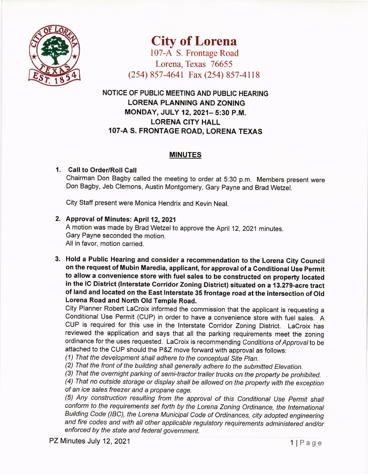

City of Lorena

107-A S. Frontage Road Lorena, Texas 76655 (2s4) 8s7 -4641 Fax (2s4) 8s7 -4118

NOTICE OF PUBLIC MEETING AND PUBLIC HEARING LORENA PLANNING AND ZONING MONDAY, JULY 12,2021- 5:30 P.M. LORENA CITY HALL 107.A S. FRONTAGE ROAD, LORENA TEXAS

## MINUTES

## 1 Call to Order/Roll Call

chairman Don Bagby called the meeting to order at 5:30 p.m. Members present were Don Bagby, Jeb Clemons, Austin Montgomery, Gary payne and Brad Wetzel.

City Staff present were Monica Hendrix and Kevin Neal

2. Approval of Minutes: April 12, 2021 A motion was made by Brad Wetzel to approve the April 12,2021 minutes. Gary Payne seconded the motion.

All in favor, motion carried.

3. Hold a Public Hearing and consider a recommendation to the Lorena Gity council on the request of Mubin Maredia, applicant, for approval of a Conditional Use Permit to allow a convenience store with fuel sales to be constructed on property located in the lG District (lnterstate Corridor Zoning District) situated on a 13.279-acre tract of land and located on the East lnterstate 35 frontage road at the intersection of Old Lorena Road and North Old Temple Road.

city Planner Robert Lacroix informed the commission that the applicant is requesting <sup>a</sup> conditional Use Permit (cuP) in order to have a convenience store with fuel sales. A CUP is required for this use in the lnterstate Corridor Zoning District. LaCroix has reviewed the application and says that all the parking requirements meet the zoning ordinance for the uses requested. LaCroix is recommending Conditions of Approval to be attached to the CUP should the P&Z move forward with approval as follows:

(1) That the development shall adhere to the conceptual Site Plan.

(2) That the front of the building shall generally adhere to the submitted Elevation.

(3) That the overnight parking of semi-tractor trailer trucks on the property be prohibited.

(4) That no outside storage or display shall be altowed on the propefiy with the exception of an ice sales freezer and a propane cage.

(5) Any construction resulting from the approval of this Conditional Use Permit shall conform to the requirements set forth by the Lorena Zoning Ordinance, the lnternationat Building code (lBC), the Lorena Municipal code of ordinances, city adopted engineering and fire codes and with all other applicable regulatory requirements administered and/or enforced by the state and federal government.

PZ Minutes July 12, 2021  $\blacksquare$